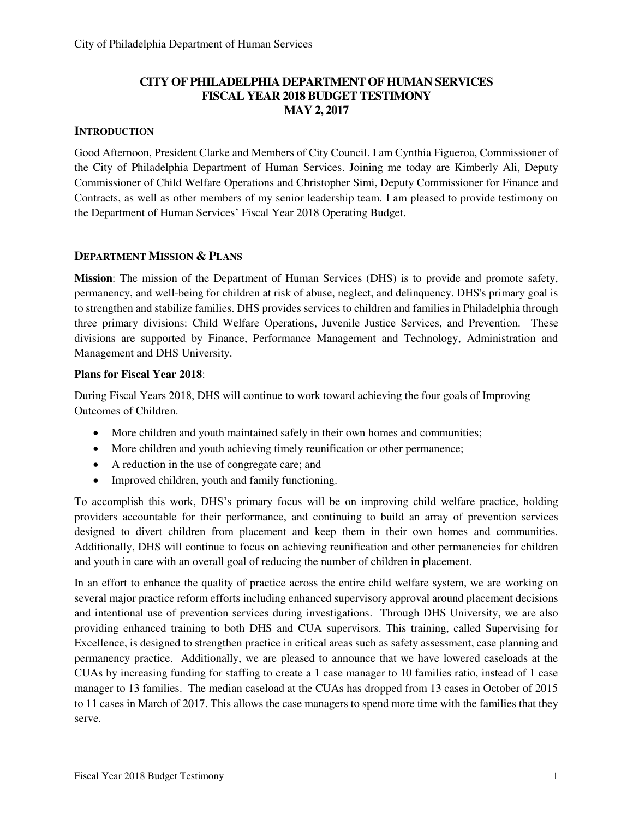## **CITY OF PHILADELPHIA DEPARTMENT OF HUMAN SERVICES FISCAL YEAR 2018 BUDGET TESTIMONY MAY 2, 2017**

#### **INTRODUCTION**

Good Afternoon, President Clarke and Members of City Council. I am Cynthia Figueroa, Commissioner of the City of Philadelphia Department of Human Services. Joining me today are Kimberly Ali, Deputy Commissioner of Child Welfare Operations and Christopher Simi, Deputy Commissioner for Finance and Contracts, as well as other members of my senior leadership team. I am pleased to provide testimony on the Department of Human Services' Fiscal Year 2018 Operating Budget.

#### **DEPARTMENT MISSION & PLANS**

**Mission**: The mission of the Department of Human Services (DHS) is to provide and promote safety, permanency, and well-being for children at risk of abuse, neglect, and delinquency. DHS's primary goal is to strengthen and stabilize families. DHS provides services to children and families in Philadelphia through three primary divisions: Child Welfare Operations, Juvenile Justice Services, and Prevention. These divisions are supported by Finance, Performance Management and Technology, Administration and Management and DHS University.

#### **Plans for Fiscal Year 2018**:

During Fiscal Years 2018, DHS will continue to work toward achieving the four goals of Improving Outcomes of Children.

- More children and youth maintained safely in their own homes and communities;
- More children and youth achieving timely reunification or other permanence;
- A reduction in the use of congregate care; and
- Improved children, youth and family functioning.

To accomplish this work, DHS's primary focus will be on improving child welfare practice, holding providers accountable for their performance, and continuing to build an array of prevention services designed to divert children from placement and keep them in their own homes and communities. Additionally, DHS will continue to focus on achieving reunification and other permanencies for children and youth in care with an overall goal of reducing the number of children in placement.

In an effort to enhance the quality of practice across the entire child welfare system, we are working on several major practice reform efforts including enhanced supervisory approval around placement decisions and intentional use of prevention services during investigations. Through DHS University, we are also providing enhanced training to both DHS and CUA supervisors. This training, called Supervising for Excellence, is designed to strengthen practice in critical areas such as safety assessment, case planning and permanency practice. Additionally, we are pleased to announce that we have lowered caseloads at the CUAs by increasing funding for staffing to create a 1 case manager to 10 families ratio, instead of 1 case manager to 13 families. The median caseload at the CUAs has dropped from 13 cases in October of 2015 to 11 cases in March of 2017. This allows the case managers to spend more time with the families that they serve.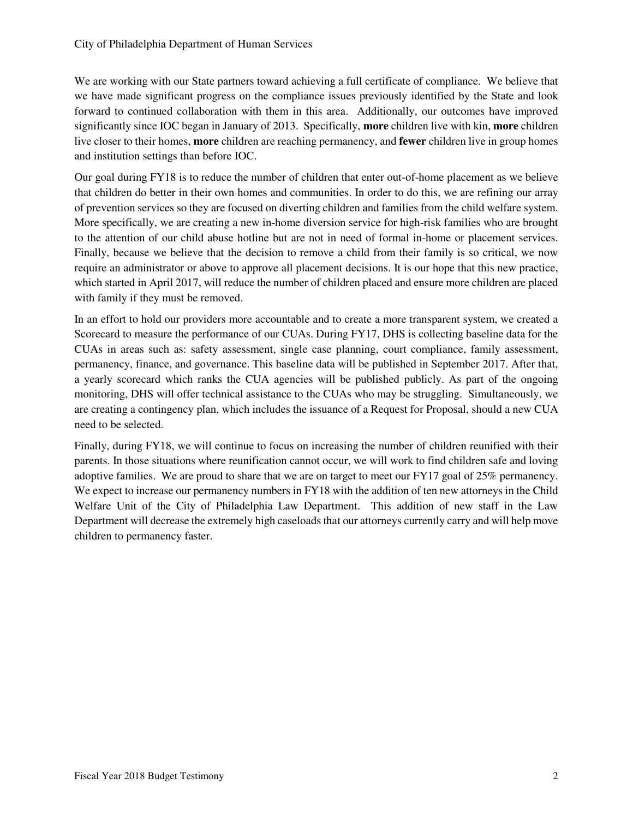We are working with our State partners toward achieving a full certificate of compliance. We believe that we have made significant progress on the compliance issues previously identified by the State and look forward to continued collaboration with them in this area. Additionally, our outcomes have improved significantly since IOC began in January of 2013. Specifically, **more** children live with kin, **more** children live closer to their homes, **more** children are reaching permanency, and **fewer** children live in group homes and institution settings than before IOC.

Our goal during FY18 is to reduce the number of children that enter out-of-home placement as we believe that children do better in their own homes and communities. In order to do this, we are refining our array of prevention services so they are focused on diverting children and families from the child welfare system. More specifically, we are creating a new in-home diversion service for high-risk families who are brought to the attention of our child abuse hotline but are not in need of formal in-home or placement services. Finally, because we believe that the decision to remove a child from their family is so critical, we now require an administrator or above to approve all placement decisions. It is our hope that this new practice, which started in April 2017, will reduce the number of children placed and ensure more children are placed with family if they must be removed.

In an effort to hold our providers more accountable and to create a more transparent system, we created a Scorecard to measure the performance of our CUAs. During FY17, DHS is collecting baseline data for the CUAs in areas such as: safety assessment, single case planning, court compliance, family assessment, permanency, finance, and governance. This baseline data will be published in September 2017. After that, a yearly scorecard which ranks the CUA agencies will be published publicly. As part of the ongoing monitoring, DHS will offer technical assistance to the CUAs who may be struggling. Simultaneously, we are creating a contingency plan, which includes the issuance of a Request for Proposal, should a new CUA need to be selected.

Finally, during FY18, we will continue to focus on increasing the number of children reunified with their parents. In those situations where reunification cannot occur, we will work to find children safe and loving adoptive families. We are proud to share that we are on target to meet our FY17 goal of 25% permanency. We expect to increase our permanency numbers in FY18 with the addition of ten new attorneys in the Child Welfare Unit of the City of Philadelphia Law Department. This addition of new staff in the Law Department will decrease the extremely high caseloads that our attorneys currently carry and will help move children to permanency faster.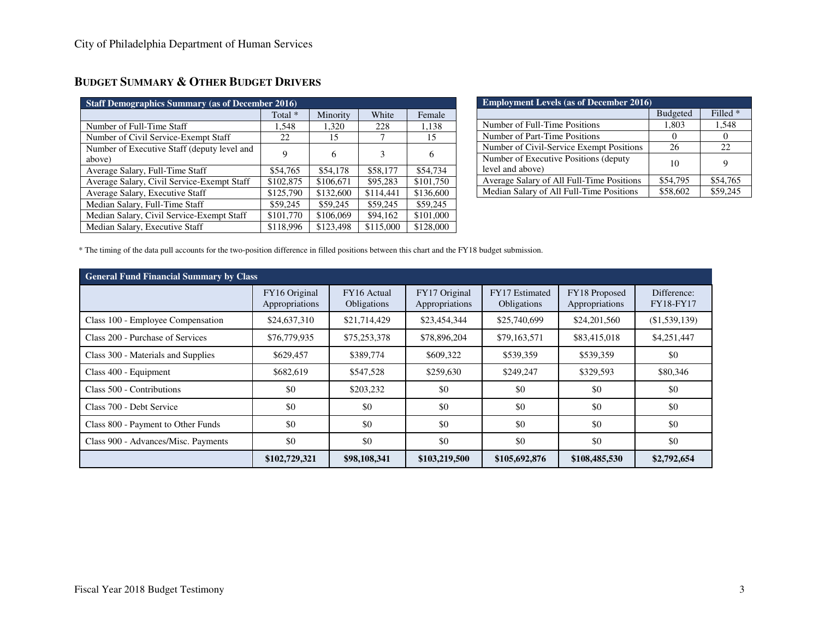| <b>Staff Demographics Summary (as of December 2016)</b> |           |           |           |           |  |
|---------------------------------------------------------|-----------|-----------|-----------|-----------|--|
|                                                         | Total *   | Minority  | White     | Female    |  |
| Number of Full-Time Staff                               | 1,548     | 1,320     | 228       | 1,138     |  |
| Number of Civil Service-Exempt Staff                    | 22.       | 15        |           | 15        |  |
| Number of Executive Staff (deputy level and             | 9         | 6         |           | 6         |  |
| above)                                                  |           |           |           |           |  |
| Average Salary, Full-Time Staff                         | \$54,765  | \$54,178  | \$58,177  | \$54,734  |  |
| Average Salary, Civil Service-Exempt Staff              | \$102,875 | \$106,671 | \$95,283  | \$101,750 |  |
| Average Salary, Executive Staff                         | \$125,790 | \$132,600 | \$114,441 | \$136,600 |  |
| Median Salary, Full-Time Staff                          | \$59,245  | \$59,245  | \$59,245  | \$59,245  |  |
| Median Salary, Civil Service-Exempt Staff               | \$101,770 | \$106,069 | \$94,162  | \$101,000 |  |
| Median Salary, Executive Staff                          | \$118,996 | \$123,498 | \$115,000 | \$128,000 |  |

## **BUDGET SUMMARY & OTHER BUDGET DRIVERS**

| <b>Employment Levels (as of December 2016)</b> |                 |          |  |  |  |  |  |  |  |  |  |
|------------------------------------------------|-----------------|----------|--|--|--|--|--|--|--|--|--|
|                                                | <b>Budgeted</b> | Filled * |  |  |  |  |  |  |  |  |  |
| Number of Full-Time Positions                  | 1,803           | 1,548    |  |  |  |  |  |  |  |  |  |
| Number of Part-Time Positions                  |                 |          |  |  |  |  |  |  |  |  |  |
| Number of Civil-Service Exempt Positions       | 26              | 22       |  |  |  |  |  |  |  |  |  |
| Number of Executive Positions (deputy          | 10              |          |  |  |  |  |  |  |  |  |  |
| level and above)                               |                 |          |  |  |  |  |  |  |  |  |  |
| Average Salary of All Full-Time Positions      | \$54,795        | \$54,765 |  |  |  |  |  |  |  |  |  |
| Median Salary of All Full-Time Positions       | \$58,602        | \$59.245 |  |  |  |  |  |  |  |  |  |

\* The timing of the data pull accounts for the two-position difference in filled positions between this chart and the FY18 budget submission.

| <b>General Fund Financial Summary by Class</b> |                                 |                            |                                 |                               |                                 |                                 |
|------------------------------------------------|---------------------------------|----------------------------|---------------------------------|-------------------------------|---------------------------------|---------------------------------|
|                                                | FY16 Original<br>Appropriations | FY16 Actual<br>Obligations | FY17 Original<br>Appropriations | FY17 Estimated<br>Obligations | FY18 Proposed<br>Appropriations | Difference:<br><b>FY18-FY17</b> |
| Class 100 - Employee Compensation              | \$24,637,310                    | \$21,714,429               | \$23,454,344                    | \$25,740,699                  | \$24,201,560                    | (\$1,539,139)                   |
| Class 200 - Purchase of Services               | \$76,779,935                    | \$75,253,378               | \$78,896,204                    | \$79,163,571                  | \$83,415,018                    | \$4,251,447                     |
| Class 300 - Materials and Supplies             | \$629,457                       | \$389,774                  | \$609,322                       | \$539,359                     | \$539,359                       | \$0                             |
| Class 400 - Equipment                          | \$682,619                       | \$547,528                  | \$259,630                       | \$249,247                     | \$329,593                       | \$80,346                        |
| Class 500 - Contributions                      | \$0                             | \$203,232                  | \$0                             | \$0                           | \$0                             | \$0                             |
| Class 700 - Debt Service                       | \$0                             | \$0                        | \$0                             | \$0                           | \$0                             | \$0                             |
| Class 800 - Payment to Other Funds             | \$0                             | \$0                        | \$0                             | \$0                           | \$0                             | \$0                             |
| Class 900 - Advances/Misc. Payments            | \$0                             | \$0                        | \$0                             | \$0                           | \$0                             | \$0                             |
|                                                | \$102,729,321                   | \$98,108,341               | \$103,219,500                   | \$105,692,876                 | \$108,485,530                   | \$2,792,654                     |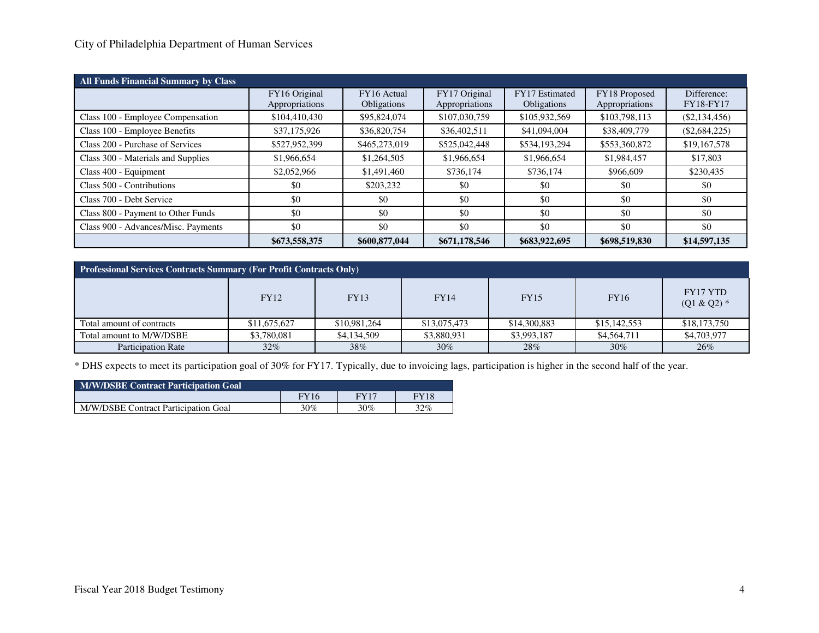## City of Philadelphia Department of Human Services

| <b>All Funds Financial Summary by Class</b> |                |                    |                            |                    |                |                  |  |
|---------------------------------------------|----------------|--------------------|----------------------------|--------------------|----------------|------------------|--|
|                                             | FY16 Original  | FY16 Actual        | FY17 Original              | FY17 Estimated     | FY18 Proposed  | Difference:      |  |
|                                             | Appropriations | <b>Obligations</b> | Appropriations             | <b>Obligations</b> | Appropriations | <b>FY18-FY17</b> |  |
| Class 100 - Employee Compensation           | \$104,410,430  | \$95,824,074       | \$107,030,759              | \$105,932,569      | \$103,798,113  | $(\$2,134,456)$  |  |
| Class 100 - Employee Benefits               | \$37,175,926   | \$36,820,754       | \$36,402,511               | \$41,094,004       | \$38,409,779   | $(\$2,684,225)$  |  |
| Class 200 - Purchase of Services            | \$527,952,399  | \$465,273,019      | \$525,042,448              | \$534,193,294      | \$553,360,872  | \$19,167,578     |  |
| Class 300 - Materials and Supplies          | \$1,966,654    | \$1,264,505        | \$1,966,654<br>\$1,966,654 |                    | \$1,984,457    | \$17,803         |  |
| Class 400 - Equipment                       | \$2,052,966    | \$1,491,460        | \$736,174                  | \$736.174          | \$966,609      | \$230,435        |  |
| Class 500 - Contributions                   | \$0            | \$203.232          | \$0                        | \$0                | \$0            | \$0              |  |
| Class 700 - Debt Service                    | \$0            | \$0                | \$0                        | \$0                | \$0            | \$0              |  |
| Class 800 - Payment to Other Funds          | \$0            | \$0                | \$0                        | \$0                | \$0            | \$0              |  |
| Class 900 - Advances/Misc. Payments         | \$0            | \$0                | \$0                        | \$0                | \$0            | \$0              |  |
|                                             | \$673,558,375  | \$600,877,044      | \$671,178,546              | \$683,922,695      | \$698,519,830  | \$14,597,135     |  |

| <b>Professional Services Contracts Summary (For Profit Contracts Only)</b> |              |              |              |              |              |                                 |  |  |  |  |  |  |
|----------------------------------------------------------------------------|--------------|--------------|--------------|--------------|--------------|---------------------------------|--|--|--|--|--|--|
|                                                                            | <b>FY12</b>  | <b>FY13</b>  | <b>FY14</b>  | <b>FY15</b>  | <b>FY16</b>  | <b>FY17 YTD</b><br>$(Q1 & Q2)*$ |  |  |  |  |  |  |
| Total amount of contracts                                                  | \$11,675,627 | \$10,981,264 | \$13,075,473 | \$14,300,883 | \$15,142,553 | \$18,173,750                    |  |  |  |  |  |  |
| \$3,780,081<br>Total amount to M/W/DSBE                                    |              | \$4,134,509  | \$3,880,931  | \$3,993,187  | \$4,564,711  | \$4,703,977                     |  |  |  |  |  |  |
| <b>Participation Rate</b>                                                  | $32\%$       | 38%          | 30%          | 28%          | $30\%$       | 26%                             |  |  |  |  |  |  |

\* DHS expects to meet its participation goal of 30% for FY17. Typically, due to invoicing lags, participation is higher in the second half of the year.

| <b>M/W/DSBE Contract Participation Goal</b> |             |             |      |  |  |  |  |  |  |  |  |
|---------------------------------------------|-------------|-------------|------|--|--|--|--|--|--|--|--|
|                                             | <b>FY16</b> | <b>FY17</b> | FY18 |  |  |  |  |  |  |  |  |
| M/W/DSBE Contract Participation Goal        | 30%         | 30%         | 32%  |  |  |  |  |  |  |  |  |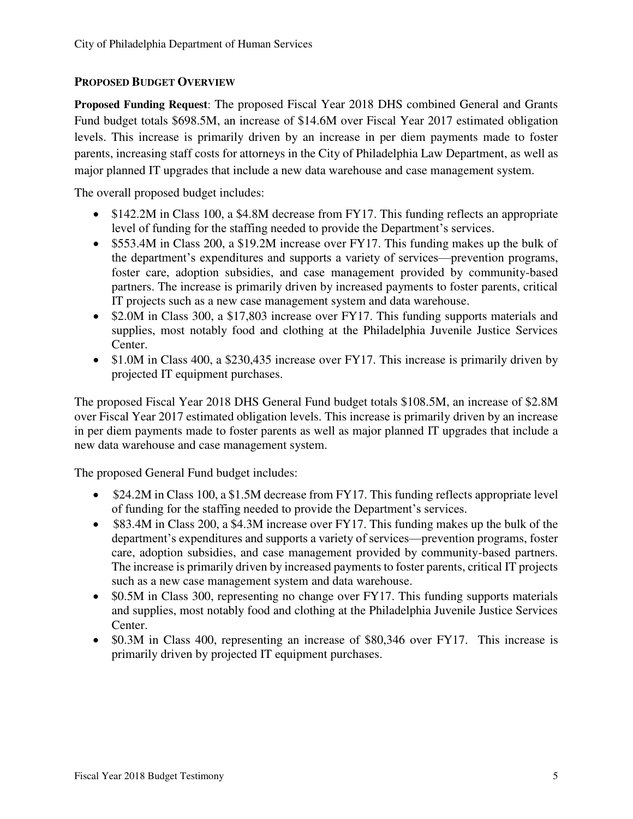## **PROPOSED BUDGET OVERVIEW**

**Proposed Funding Request**: The proposed Fiscal Year 2018 DHS combined General and Grants Fund budget totals \$698.5M, an increase of \$14.6M over Fiscal Year 2017 estimated obligation levels. This increase is primarily driven by an increase in per diem payments made to foster parents, increasing staff costs for attorneys in the City of Philadelphia Law Department, as well as major planned IT upgrades that include a new data warehouse and case management system.

The overall proposed budget includes:

- \$142.2M in Class 100, a \$4.8M decrease from FY17. This funding reflects an appropriate level of funding for the staffing needed to provide the Department's services.
- \$553.4M in Class 200, a \$19.2M increase over FY17. This funding makes up the bulk of the department's expenditures and supports a variety of services—prevention programs, foster care, adoption subsidies, and case management provided by community-based partners. The increase is primarily driven by increased payments to foster parents, critical IT projects such as a new case management system and data warehouse.
- \$2.0M in Class 300, a \$17,803 increase over FY17. This funding supports materials and supplies, most notably food and clothing at the Philadelphia Juvenile Justice Services Center.
- \$1.0M in Class 400, a \$230,435 increase over FY17. This increase is primarily driven by projected IT equipment purchases.

The proposed Fiscal Year 2018 DHS General Fund budget totals \$108.5M, an increase of \$2.8M over Fiscal Year 2017 estimated obligation levels. This increase is primarily driven by an increase in per diem payments made to foster parents as well as major planned IT upgrades that include a new data warehouse and case management system.

The proposed General Fund budget includes:

- \$24.2M in Class 100, a \$1.5M decrease from FY17. This funding reflects appropriate level of funding for the staffing needed to provide the Department's services.
- \$83.4M in Class 200, a \$4.3M increase over FY17. This funding makes up the bulk of the department's expenditures and supports a variety of services—prevention programs, foster care, adoption subsidies, and case management provided by community-based partners. The increase is primarily driven by increased payments to foster parents, critical IT projects such as a new case management system and data warehouse.
- \$0.5M in Class 300, representing no change over FY17. This funding supports materials and supplies, most notably food and clothing at the Philadelphia Juvenile Justice Services Center.
- \$0.3M in Class 400, representing an increase of \$80,346 over FY17. This increase is primarily driven by projected IT equipment purchases.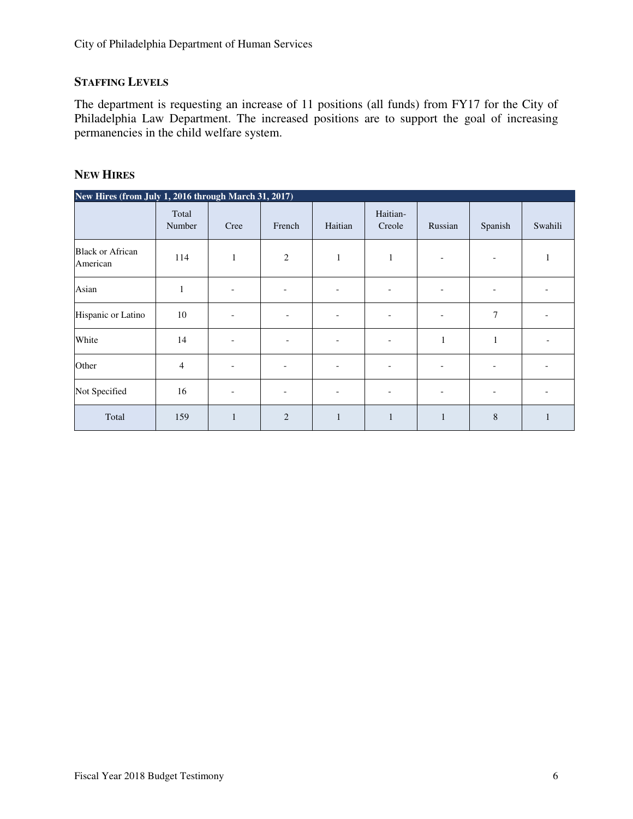## **STAFFING LEVELS**

The department is requesting an increase of 11 positions (all funds) from FY17 for the City of Philadelphia Law Department. The increased positions are to support the goal of increasing permanencies in the child welfare system.

#### **NEW HIRES**

| New Hires (from July 1, 2016 through March 31, 2017) |                 |                          |                          |                          |                    |                          |                          |         |
|------------------------------------------------------|-----------------|--------------------------|--------------------------|--------------------------|--------------------|--------------------------|--------------------------|---------|
|                                                      | Total<br>Number | Cree                     | French                   | Haitian                  | Haitian-<br>Creole | Russian                  | Spanish                  | Swahili |
| <b>Black or African</b><br>American                  | 114             | $\mathbf{1}$             | 2                        | $\mathbf{1}$             | $\mathbf{1}$       | $\overline{\phantom{a}}$ | $\overline{\phantom{a}}$ |         |
| Asian                                                | 1               | $\overline{a}$           | $\qquad \qquad -$        | $\overline{a}$           | ۰                  | $\overline{a}$           | $\overline{a}$           |         |
| Hispanic or Latino                                   | 10              | ۰                        |                          | $\overline{a}$           | ۰                  | ۰                        | 7                        |         |
| White                                                | 14              | ۳                        |                          | ۰                        | ۳                  | 1                        | 1                        |         |
| Other                                                | 4               | ۰                        | $\overline{\phantom{a}}$ | $\overline{\phantom{a}}$ | ٠                  | $\overline{\phantom{a}}$ | $\overline{\phantom{a}}$ |         |
| Not Specified                                        | 16              | $\overline{\phantom{a}}$ | $\overline{\phantom{a}}$ | $\overline{\phantom{a}}$ | ۰                  | $\overline{\phantom{a}}$ | $\overline{\phantom{a}}$ |         |
| Total                                                | 159             | $\mathbf{1}$             | $\overline{2}$           | $\mathbf{1}$             | $\mathbf{1}$       | 1                        | 8                        |         |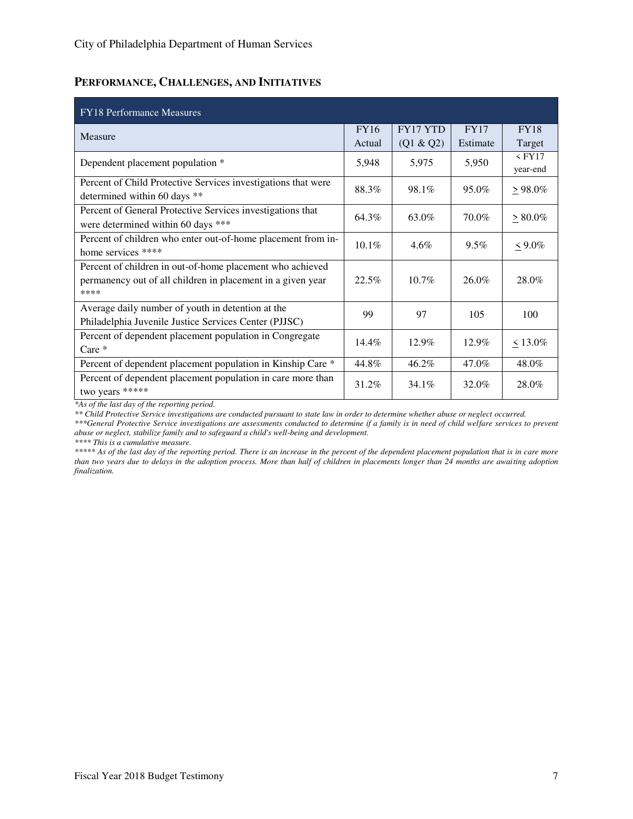## **PERFORMANCE, CHALLENGES, AND INITIATIVES**

| <b>FY18</b> Performance Measures                                                                                                 |             |                 |             |                      |
|----------------------------------------------------------------------------------------------------------------------------------|-------------|-----------------|-------------|----------------------|
| Measure                                                                                                                          | <b>FY16</b> | <b>FY17 YTD</b> | <b>FY17</b> | <b>FY18</b>          |
|                                                                                                                                  | Actual      | (Q1 & Q2)       | Estimate    | Target               |
| Dependent placement population *                                                                                                 | 5,948       | 5,975           | 5,950       | $<$ FY17<br>year-end |
| Percent of Child Protective Services investigations that were<br>determined within 60 days **                                    | 88.3%       | 98.1%           | 95.0%       | $\geq 98.0\%$        |
| Percent of General Protective Services investigations that<br>were determined within 60 days ***                                 | 64.3%       | 63.0%           | 70.0%       | $\geq 80.0\%$        |
| Percent of children who enter out-of-home placement from in-<br>home services ****                                               | $10.1\%$    | 4.6%            | 9.5%        | $< 9.0\%$            |
| Percent of children in out-of-home placement who achieved<br>permanency out of all children in placement in a given year<br>**** | 22.5%       | $10.7\%$        | 26.0%       | 28.0%                |
| Average daily number of youth in detention at the<br>Philadelphia Juvenile Justice Services Center (PJJSC)                       | 99          | 97              | 105         | 100                  |
| Percent of dependent placement population in Congregate<br>$Care *$                                                              | $14.4\%$    | 12.9%           | 12.9%       | $< 13.0\%$           |
| Percent of dependent placement population in Kinship Care *                                                                      | 44.8%       | 46.2%           | 47.0%       | 48.0%                |
| Percent of dependent placement population in care more than<br>two years *****                                                   | 31.2%       | $34.1\%$        | 32.0%       | 28.0%                |

*\*As of the last day of the reporting period.* 

*\*\* Child Protective Service investigations are conducted pursuant to state law in order to determine whether abuse or neglect occurred.* 

*\*\*\*General Protective Service investigations are assessments conducted to determine if a family is in need of child welfare services to prevent abuse or neglect, stabilize family and to safeguard a child's well-being and development.* 

*\*\*\*\* This is a cumulative measure.* 

*\*\*\*\*\* As of the last day of the reporting period. There is an increase in the percent of the dependent placement population that is in care more than two years due to delays in the adoption process. More than half of children in placements longer than 24 months are awaiting adoption finalization.*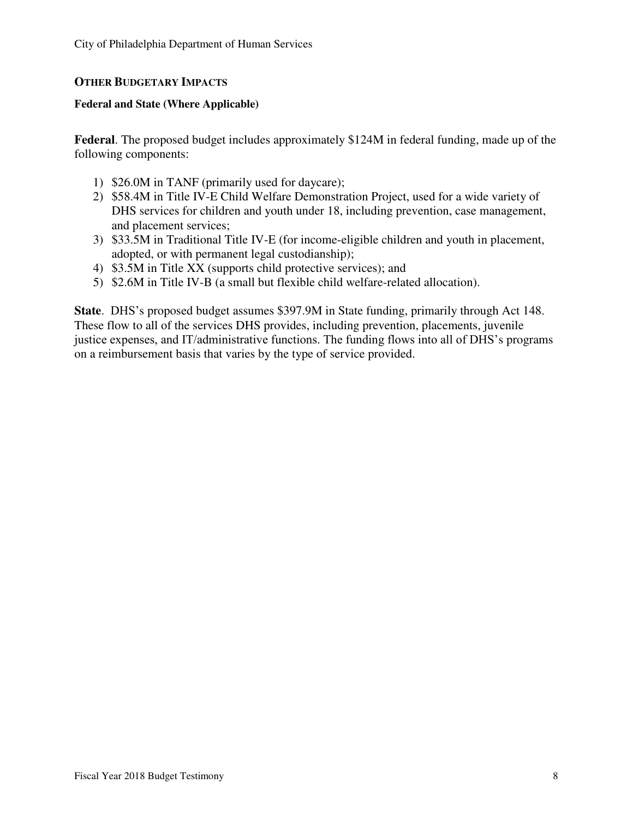## **OTHER BUDGETARY IMPACTS**

#### **Federal and State (Where Applicable)**

**Federal**. The proposed budget includes approximately \$124M in federal funding, made up of the following components:

- 1) \$26.0M in TANF (primarily used for daycare);
- 2) \$58.4M in Title IV-E Child Welfare Demonstration Project, used for a wide variety of DHS services for children and youth under 18, including prevention, case management, and placement services;
- 3) \$33.5M in Traditional Title IV-E (for income-eligible children and youth in placement, adopted, or with permanent legal custodianship);
- 4) \$3.5M in Title XX (supports child protective services); and
- 5) \$2.6M in Title IV-B (a small but flexible child welfare-related allocation).

**State**. DHS's proposed budget assumes \$397.9M in State funding, primarily through Act 148. These flow to all of the services DHS provides, including prevention, placements, juvenile justice expenses, and IT/administrative functions. The funding flows into all of DHS's programs on a reimbursement basis that varies by the type of service provided.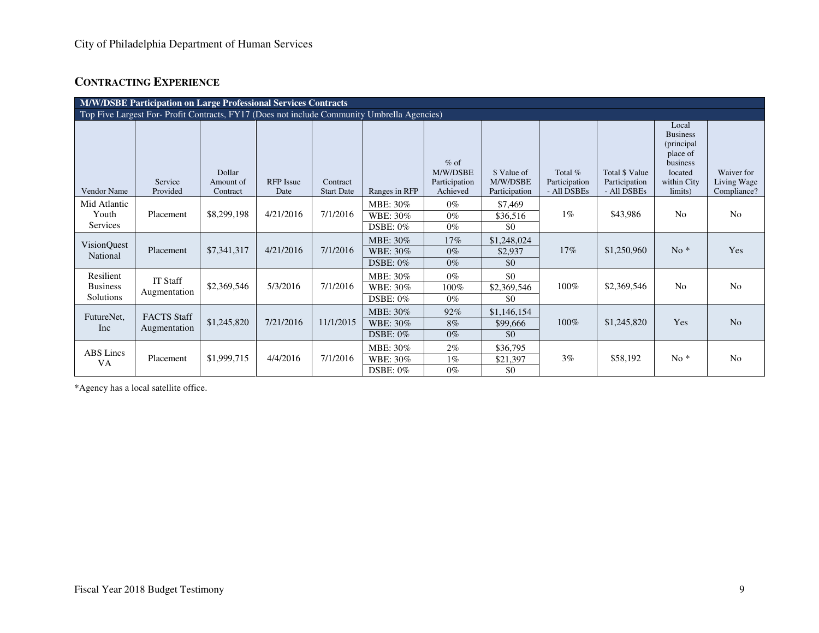# **CONTRACTING EXPERIENCE**

|                                           | M/W/DSBE Participation on Large Professional Services Contracts                             |                                 |                          |                               |                                         |                                                 |                                          |                                         |                                                |                                                                                                      |                                          |  |  |  |
|-------------------------------------------|---------------------------------------------------------------------------------------------|---------------------------------|--------------------------|-------------------------------|-----------------------------------------|-------------------------------------------------|------------------------------------------|-----------------------------------------|------------------------------------------------|------------------------------------------------------------------------------------------------------|------------------------------------------|--|--|--|
|                                           | Top Five Largest For- Profit Contracts, FY17 (Does not include Community Umbrella Agencies) |                                 |                          |                               |                                         |                                                 |                                          |                                         |                                                |                                                                                                      |                                          |  |  |  |
| Vendor Name                               | Service<br>Provided                                                                         | Dollar<br>Amount of<br>Contract | <b>RFP</b> Issue<br>Date | Contract<br><b>Start Date</b> | Ranges in RFP                           | $%$ of<br>M/W/DSBE<br>Participation<br>Achieved | \$ Value of<br>M/W/DSBE<br>Participation | Total %<br>Participation<br>- All DSBEs | Total \$ Value<br>Participation<br>- All DSBEs | Local<br><b>Business</b><br>(principal)<br>place of<br>business<br>located<br>within City<br>limits) | Waiver for<br>Living Wage<br>Compliance? |  |  |  |
| Mid Atlantic<br>Youth<br>Services         | Placement                                                                                   | \$8,299,198                     | 4/21/2016                | 7/1/2016                      | MBE: 30%<br>WBE: 30%<br>DSBE: $0\%$     | $0\%$<br>$0\%$<br>$0\%$                         | \$7,469<br>\$36,516<br>\$0               | $1\%$                                   | \$43,986                                       | N <sub>0</sub>                                                                                       | N <sub>0</sub>                           |  |  |  |
| VisionQuest<br>National                   | Placement                                                                                   | \$7,341,317                     | 4/21/2016                | 7/1/2016                      | MBE: 30%<br>WBE: 30%<br><b>DSBE: 0%</b> | $17\%$<br>$0\%$<br>$0\%$                        | \$1,248,024<br>\$2,937<br>\$0            | 17%                                     | \$1,250,960                                    | $No*$                                                                                                | Yes                                      |  |  |  |
| Resilient<br><b>Business</b><br>Solutions | <b>IT Staff</b><br>Augmentation                                                             | \$2,369,546                     | 5/3/2016                 | 7/1/2016                      | MBE: 30%<br>WBE: 30%<br>DSBE: $0\%$     | $0\%$<br>100%<br>$0\%$                          | \$0<br>\$2,369,546<br>\$0                | 100%                                    | \$2,369,546                                    | N <sub>o</sub>                                                                                       | N <sub>0</sub>                           |  |  |  |
| FutureNet,<br>Inc                         | <b>FACTS</b> Staff<br>Augmentation                                                          | \$1,245,820                     | 7/21/2016                | 11/1/2015                     | MBE: 30%<br>WBE: 30%<br><b>DSBE: 0%</b> | 92%<br>8%<br>$0\%$                              | \$1,146,154<br>\$99,666<br>\$0           | 100%                                    | \$1,245,820                                    | Yes                                                                                                  | N <sub>o</sub>                           |  |  |  |
| <b>ABS</b> Lincs<br>VA                    | Placement                                                                                   | \$1,999,715                     | 4/4/2016                 | 7/1/2016                      | MBE: 30%<br>WBE: 30%<br><b>DSBE: 0%</b> | $2\%$<br>$1\%$<br>$0\%$                         | \$36,795<br>\$21,397<br>\$0              | 3%                                      | \$58,192                                       | $No*$                                                                                                | N <sub>0</sub>                           |  |  |  |

\*Agency has a local satellite office.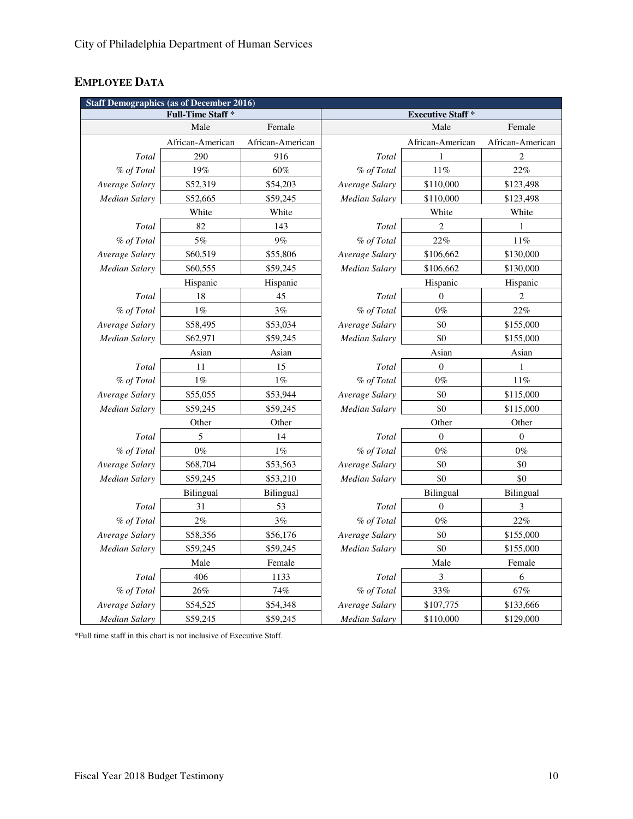# **EMPLOYEE DATA**

| <b>Staff Demographics (as of December 2016)</b> |                         |                  |                      |                         |                  |  |  |  |  |  |  |  |
|-------------------------------------------------|-------------------------|------------------|----------------------|-------------------------|------------------|--|--|--|--|--|--|--|
|                                                 | <b>Full-Time Staff*</b> |                  |                      | <b>Executive Staff*</b> |                  |  |  |  |  |  |  |  |
|                                                 | Male                    | Female           |                      | Male                    | Female           |  |  |  |  |  |  |  |
|                                                 | African-American        | African-American |                      | African-American        | African-American |  |  |  |  |  |  |  |
| Total                                           | 290                     | 916              | Total                | 1                       | 2                |  |  |  |  |  |  |  |
| % of Total                                      | 19%                     | 60%              | % of Total           | 11%                     | 22%              |  |  |  |  |  |  |  |
| Average Salary                                  | \$52,319                | \$54,203         | Average Salary       | \$110,000               | \$123,498        |  |  |  |  |  |  |  |
| Median Salary                                   | \$52,665                | \$59,245         | Median Salary        | \$110,000               | \$123,498        |  |  |  |  |  |  |  |
|                                                 | White                   | White            |                      | White                   | White            |  |  |  |  |  |  |  |
| Total                                           | 82                      | 143              | Total                | 2                       | 1                |  |  |  |  |  |  |  |
| % of Total                                      | 5%                      | 9%               | % of Total           | 22%                     | 11%              |  |  |  |  |  |  |  |
| Average Salary                                  | \$60,519                | \$55,806         | Average Salary       | \$106,662               | \$130,000        |  |  |  |  |  |  |  |
| Median Salary                                   | \$60,555                | \$59,245         | Median Salary        | \$106,662               | \$130,000        |  |  |  |  |  |  |  |
|                                                 | Hispanic                | Hispanic         |                      | Hispanic                | Hispanic         |  |  |  |  |  |  |  |
| Total                                           | 18                      | 45               | Total                | $\boldsymbol{0}$        | 2                |  |  |  |  |  |  |  |
| % of Total                                      | $1\%$                   | 3%               | % of Total           | $0\%$                   | 22%              |  |  |  |  |  |  |  |
| Average Salary                                  | \$58,495                | \$53,034         | Average Salary       | \$0                     | \$155,000        |  |  |  |  |  |  |  |
| Median Salary                                   | \$62,971                | \$59,245         | Median Salary        | \$0                     | \$155,000        |  |  |  |  |  |  |  |
|                                                 | Asian                   | Asian            |                      | Asian                   | Asian            |  |  |  |  |  |  |  |
| Total                                           | 11                      | 15               | Total                | $\boldsymbol{0}$        | 1                |  |  |  |  |  |  |  |
| % of Total                                      | $1\%$                   | $1\%$            | % of Total           | $0\%$                   | 11%              |  |  |  |  |  |  |  |
| Average Salary                                  | \$55,055                | \$53,944         | Average Salary       | \$0                     | \$115,000        |  |  |  |  |  |  |  |
| Median Salary                                   | \$59,245                | \$59,245         | Median Salary        | \$0                     | \$115,000        |  |  |  |  |  |  |  |
|                                                 | Other                   | Other            |                      | Other                   | Other            |  |  |  |  |  |  |  |
| Total                                           | 5                       | 14               | Total                | $\overline{0}$          | $\mathbf{0}$     |  |  |  |  |  |  |  |
| % of Total                                      | $0\%$                   | $1\%$            | % of Total           | $0\%$                   | $0\%$            |  |  |  |  |  |  |  |
| Average Salary                                  | \$68,704                | \$53,563         | Average Salary       | \$0                     | \$0              |  |  |  |  |  |  |  |
| Median Salary                                   | \$59,245                | \$53,210         | <b>Median Salary</b> | \$0                     | \$0              |  |  |  |  |  |  |  |
|                                                 | <b>Bilingual</b>        | <b>Bilingual</b> |                      | Bilingual               | <b>Bilingual</b> |  |  |  |  |  |  |  |
| Total                                           | 31                      | 53               | Total                | $\overline{0}$          | 3                |  |  |  |  |  |  |  |
| % of Total                                      | 2%                      | 3%               | % of Total           | $0\%$                   | 22%              |  |  |  |  |  |  |  |
| Average Salary                                  | \$58,356                | \$56,176         | Average Salary       | \$0                     | \$155,000        |  |  |  |  |  |  |  |
| Median Salary                                   | \$59,245                | \$59,245         | <b>Median Salary</b> | \$0                     | \$155,000        |  |  |  |  |  |  |  |
|                                                 | Male                    | Female           |                      | Male                    | Female           |  |  |  |  |  |  |  |
| Total                                           | 406                     | 1133             | Total                | 3                       | 6                |  |  |  |  |  |  |  |
| % of Total                                      | $26\%$                  | 74%              | % of Total           | 33%                     | $67\%$           |  |  |  |  |  |  |  |
| Average Salary                                  | \$54,525                | \$54,348         | Average Salary       | \$107,775               | \$133,666        |  |  |  |  |  |  |  |
| <b>Median Salary</b>                            | \$59,245                | \$59,245         | <b>Median Salary</b> | \$110,000               | \$129,000        |  |  |  |  |  |  |  |

\*Full time staff in this chart is not inclusive of Executive Staff.